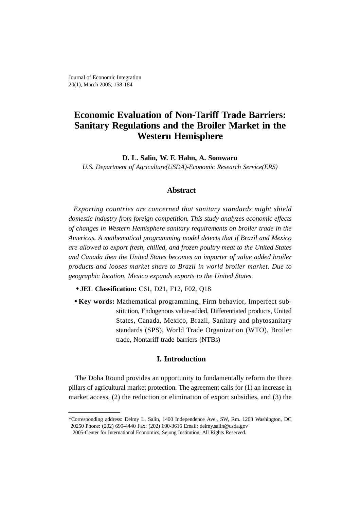# **Economic Evaluation of Non-Tariff Trade Barriers: Sanitary Regulations and the Broiler Market in the Western Hemisphere**

**D. L. Salin, W. F. Hahn, A. Somwaru**

*U.S. Department of Agriculture(USDA)-Economic Research Service(ERS)*

# **Abstract**

*Exporting countries are concerned that sanitary standards might shield domestic industry from foreign competition. This study analyzes economic effects of changes in Western Hemisphere sanitary requirements on broiler trade in the Americas. A mathematical programming model detects that if Brazil and Mexico are allowed to export fresh, chilled, and frozen poultry meat to the United States and Canada then the United States becomes an importer of value added broiler products and looses market share to Brazil in world broiler market. Due to geographic location, Mexico expands exports to the United States.*

- **JEL Classification:** C61, D21, F12, F02, Q18
- **Key words:** Mathematical programming, Firm behavior, Imperfect substitution, Endogenous value-added, Differentiated products, United States, Canada, Mexico, Brazil, Sanitary and phytosanitary standards (SPS), World Trade Organization (WTO), Broiler trade, Nontariff trade barriers (NTBs)

## **I. Introduction**

The Doha Round provides an opportunity to fundamentally reform the three pillars of agricultural market protection. The agreement calls for (1) an increase in market access, (2) the reduction or elimination of export subsidies, and (3) the

<sup>\*</sup>Corresponding address: Delmy L. Salin, 1400 Independence Ave., SW, Rm. 1203 Washington, DC 20250 Phone: (202) 690-4440 Fax: (202) 690-3616 Email: delmy.salin@usda.gov

<sup>2005-</sup>Center for International Economics, Sejong Institution, All Rights Reserved.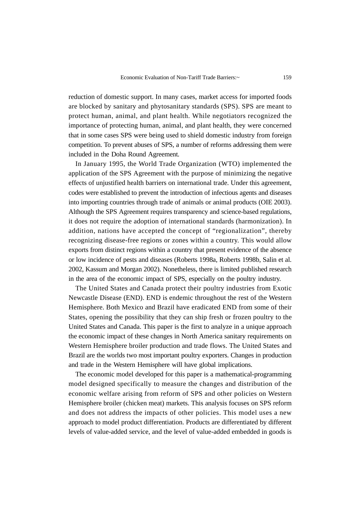reduction of domestic support. In many cases, market access for imported foods are blocked by sanitary and phytosanitary standards (SPS). SPS are meant to protect human, animal, and plant health. While negotiators recognized the importance of protecting human, animal, and plant health, they were concerned that in some cases SPS were being used to shield domestic industry from foreign competition. To prevent abuses of SPS, a number of reforms addressing them were included in the Doha Round Agreement.

In January 1995, the World Trade Organization (WTO) implemented the application of the SPS Agreement with the purpose of minimizing the negative effects of unjustified health barriers on international trade. Under this agreement, codes were established to prevent the introduction of infectious agents and diseases into importing countries through trade of animals or animal products (OIE 2003). Although the SPS Agreement requires transparency and science-based regulations, it does not require the adoption of international standards (harmonization). In addition, nations have accepted the concept of "regionalization", thereby recognizing disease-free regions or zones within a country. This would allow exports from distinct regions within a country that present evidence of the absence or low incidence of pests and diseases (Roberts 1998a, Roberts 1998b, Salin et al. 2002, Kassum and Morgan 2002). Nonetheless, there is limited published research in the area of the economic impact of SPS, especially on the poultry industry.

The United States and Canada protect their poultry industries from Exotic Newcastle Disease (END). END is endemic throughout the rest of the Western Hemisphere. Both Mexico and Brazil have eradicated END from some of their States, opening the possibility that they can ship fresh or frozen poultry to the United States and Canada. This paper is the first to analyze in a unique approach the economic impact of these changes in North America sanitary requirements on Western Hemisphere broiler production and trade flows. The United States and Brazil are the worlds two most important poultry exporters. Changes in production and trade in the Western Hemisphere will have global implications.

The economic model developed for this paper is a mathematical-programming model designed specifically to measure the changes and distribution of the economic welfare arising from reform of SPS and other policies on Western Hemisphere broiler (chicken meat) markets. This analysis focuses on SPS reform and does not address the impacts of other policies. This model uses a new approach to model product differentiation. Products are differentiated by different levels of value-added service, and the level of value-added embedded in goods is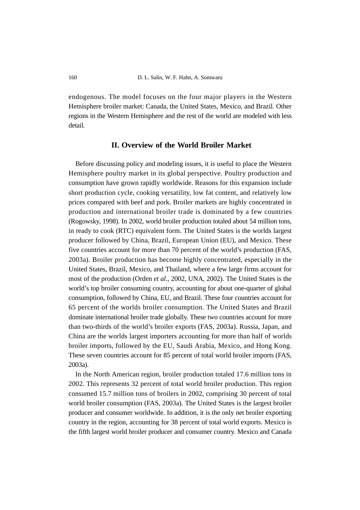endogenous. The model focuses on the four major players in the Western Hemisphere broiler market: Canada, the United States, Mexico, and Brazil. Other regions in the Western Hemisphere and the rest of the world are modeled with less detail.

# **II. Overview of the World Broiler Market**

Before discussing policy and modeling issues, it is useful to place the Western Hemisphere poultry market in its global perspective. Poultry production and consumption have grown rapidly worldwide. Reasons for this expansion include short production cycle, cooking versatility, low fat content, and relatively low prices compared with beef and pork. Broiler markets are highly concentrated in production and international broiler trade is dominated by a few countries (Rogowsky, 1998). In 2002, world broiler production totaled about 54 million tons, in ready to cook (RTC) equivalent form. The United States is the worlds largest producer followed by China, Brazil, European Union (EU), and Mexico. These five countries account for more than 70 percent of the world's production (FAS, 2003a). Broiler production has become highly concentrated, especially in the United States, Brazil, Mexico, and Thailand, where a few large firms account for most of the production (Orden *et al.*, 2002, UNA, 2002). The United States is the world's top broiler consuming country, accounting for about one-quarter of global consumption, followed by China, EU, and Brazil. These four countries account for 65 percent of the worlds broiler consumption. The United States and Brazil dominate international broiler trade globally. These two countries account for more than two-thirds of the world's broiler exports (FAS, 2003a). Russia, Japan, and China are the worlds largest importers accounting for more than half of worlds broiler imports, followed by the EU, Saudi Arabia, Mexico, and Hong Kong. These seven countries account for 85 percent of total world broiler imports (FAS, 2003a).

In the North American region, broiler production totaled 17.6 million tons in 2002. This represents 32 percent of total world broiler production. This region consumed 15.7 million tons of broilers in 2002, comprising 30 percent of total world broiler consumption (FAS, 2003a). The United States is the largest broiler producer and consumer worldwide. In addition, it is the only net broiler exporting country in the region, accounting for 38 percent of total world exports. Mexico is the fifth largest world broiler producer and consumer country. Mexico and Canada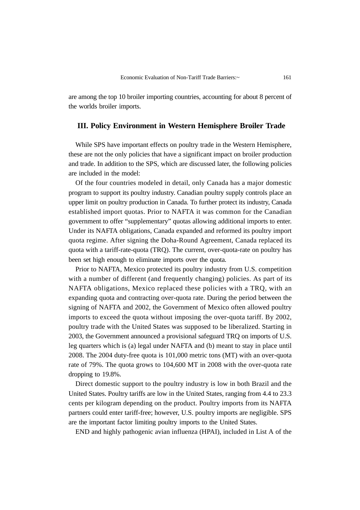are among the top 10 broiler importing countries, accounting for about 8 percent of the worlds broiler imports.

### **III. Policy Environment in Western Hemisphere Broiler Trade**

While SPS have important effects on poultry trade in the Western Hemisphere, these are not the only policies that have a significant impact on broiler production and trade. In addition to the SPS, which are discussed later, the following policies are included in the model:

Of the four countries modeled in detail, only Canada has a major domestic program to support its poultry industry. Canadian poultry supply controls place an upper limit on poultry production in Canada. To further protect its industry, Canada established import quotas. Prior to NAFTA it was common for the Canadian government to offer "supplementary" quotas allowing additional imports to enter. Under its NAFTA obligations, Canada expanded and reformed its poultry import quota regime. After signing the Doha-Round Agreement, Canada replaced its quota with a tariff-rate-quota (TRQ). The current, over-quota-rate on poultry has been set high enough to eliminate imports over the quota.

Prior to NAFTA, Mexico protected its poultry industry from U.S. competition with a number of different (and frequently changing) policies. As part of its NAFTA obligations, Mexico replaced these policies with a TRQ, with an expanding quota and contracting over-quota rate. During the period between the signing of NAFTA and 2002, the Government of Mexico often allowed poultry imports to exceed the quota without imposing the over-quota tariff. By 2002, poultry trade with the United States was supposed to be liberalized. Starting in 2003, the Government announced a provisional safeguard TRQ on imports of U.S. leg quarters which is (a) legal under NAFTA and (b) meant to stay in place until 2008. The 2004 duty-free quota is 101,000 metric tons (MT) with an over-quota rate of 79%. The quota grows to 104,600 MT in 2008 with the over-quota rate dropping to 19.8%.

Direct domestic support to the poultry industry is low in both Brazil and the United States. Poultry tariffs are low in the United States, ranging from 4.4 to 23.3 cents per kilogram depending on the product. Poultry imports from its NAFTA partners could enter tariff-free; however, U.S. poultry imports are negligible. SPS are the important factor limiting poultry imports to the United States.

END and highly pathogenic avian influenza (HPAI), included in List A of the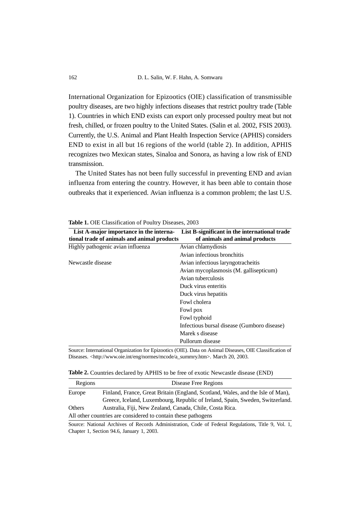International Organization for Epizootics (OIE) classification of transmissible poultry diseases, are two highly infections diseases that restrict poultry trade (Table 1). Countries in which END exists can export only processed poultry meat but not fresh, chilled, or frozen poultry to the United States. (Salin et al. 2002, FSIS 2003). Currently, the U.S. Animal and Plant Health Inspection Service (APHIS) considers END to exist in all but 16 regions of the world (table 2). In addition, APHIS recognizes two Mexican states, Sinaloa and Sonora, as having a low risk of END transmission.

The United States has not been fully successful in preventing END and avian influenza from entering the country. However, it has been able to contain those outbreaks that it experienced. Avian influenza is a common problem; the last U.S.

| List A-major importance in the interna-     | List B-significant in the international trade |
|---------------------------------------------|-----------------------------------------------|
| tional trade of animals and animal products | of animals and animal products                |
| Highly pathogenic avian influenza           | Avian chlamydiosis                            |
|                                             | Avian infectious bronchitis                   |
| Newcastle disease                           | Avian infectious laryngotracheitis            |
|                                             | Avian mycoplasmosis (M. gallisepticum)        |
|                                             | Avian tuberculosis                            |
|                                             | Duck virus enteritis                          |
|                                             | Duck virus hepatitis                          |
|                                             | Fowl cholera                                  |
|                                             | Fowl pox                                      |
|                                             | Fowl typhoid                                  |
|                                             | Infectious bursal disease (Gumboro disease)   |
|                                             | Marek s disease                               |
|                                             | Pullorum disease                              |

**Table 1.** OIE Classification of Poultry Diseases, 2003

Source: International Organization for Epizootics (OIE). Data on Animal Diseases, OIE Classification of Diseases. <http://www.oie.int/eng/normes/mcode/a\_summry.htm>. March 20, 2003.

|  | Table 2. Countries declared by APHIS to be free of exotic Newcastle disease (END) |  |
|--|-----------------------------------------------------------------------------------|--|
|--|-----------------------------------------------------------------------------------|--|

| Regions | Disease Free Regions                                                            |
|---------|---------------------------------------------------------------------------------|
| Europe  | Finland, France, Great Britain (England, Scotland, Wales, and the Isle of Man), |
|         | Greece, Iceland, Luxembourg, Republic of Ireland, Spain, Sweden, Switzerland.   |
| Others  | Australia, Fiji, New Zealand, Canada, Chile, Costa Rica.                        |
|         | All other countries are considered to contain these pathogens                   |

Source: National Archives of Records Administration, Code of Federal Regulations, Title 9, Vol. 1, Chapter 1, Section 94.6, January 1, 2003.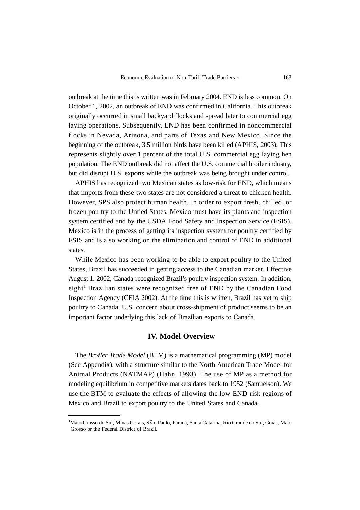outbreak at the time this is written was in February 2004. END is less common. On October 1, 2002, an outbreak of END was confirmed in California. This outbreak originally occurred in small backyard flocks and spread later to commercial egg laying operations. Subsequently, END has been confirmed in noncommercial flocks in Nevada, Arizona, and parts of Texas and New Mexico. Since the beginning of the outbreak, 3.5 million birds have been killed (APHIS, 2003). This represents slightly over 1 percent of the total U.S. commercial egg laying hen population. The END outbreak did not affect the U.S. commercial broiler industry, but did disrupt U.S. exports while the outbreak was being brought under control.

APHIS has recognized two Mexican states as low-risk for END, which means that imports from these two states are not considered a threat to chicken health. However, SPS also protect human health. In order to export fresh, chilled, or frozen poultry to the Untied States, Mexico must have its plants and inspection system certified and by the USDA Food Safety and Inspection Service (FSIS). Mexico is in the process of getting its inspection system for poultry certified by FSIS and is also working on the elimination and control of END in additional states.

While Mexico has been working to be able to export poultry to the United States, Brazil has succeeded in getting access to the Canadian market. Effective August 1, 2002, Canada recognized Brazil's poultry inspection system. In addition, eight<sup>1</sup> Brazilian states were recognized free of END by the Canadian Food Inspection Agency (CFIA 2002). At the time this is written, Brazil has yet to ship poultry to Canada. U.S. concern about cross-shipment of product seems to be an important factor underlying this lack of Brazilian exports to Canada.

### **IV. Model Overview**

The *Broiler Trade Model* (BTM) is a mathematical programming (MP) model (See Appendix), with a structure similar to the North American Trade Model for Animal Products (NATMAP) (Hahn, 1993). The use of MP as a method for modeling equilibrium in competitive markets dates back to 1952 (Samuelson). We use the BTM to evaluate the effects of allowing the low-END-risk regions of Mexico and Brazil to export poultry to the United States and Canada.

<sup>&</sup>lt;sup>1</sup>Mato Grosso do Sul, Minas Gerais, Sã o Paulo, Paraná, Santa Catarina, Rio Grande do Sul, Goiás, Mato Grosso or the Federal District of Brazil.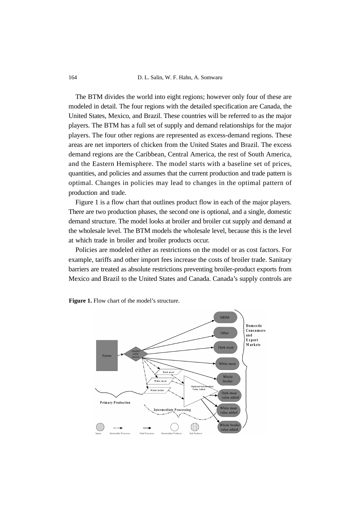164 D. L. Salin, W. F. Hahn, A. Somwaru

The BTM divides the world into eight regions; however only four of these are modeled in detail. The four regions with the detailed specification are Canada, the United States, Mexico, and Brazil. These countries will be referred to as the major players. The BTM has a full set of supply and demand relationships for the major players. The four other regions are represented as excess-demand regions. These areas are net importers of chicken from the United States and Brazil. The excess demand regions are the Caribbean, Central America, the rest of South America, and the Eastern Hemisphere. The model starts with a baseline set of prices, quantities, and policies and assumes that the current production and trade pattern is optimal. Changes in policies may lead to changes in the optimal pattern of production and trade.

Figure 1 is a flow chart that outlines product flow in each of the major players. There are two production phases, the second one is optional, and a single, domestic demand structure. The model looks at broiler and broiler cut supply and demand at the wholesale level. The BTM models the wholesale level, because this is the level at which trade in broiler and broiler products occur.

Policies are modeled either as restrictions on the model or as cost factors. For example, tariffs and other import fees increase the costs of broiler trade. Sanitary barriers are treated as absolute restrictions preventing broiler-product exports from Mexico and Brazil to the United States and Canada. Canada's supply controls are



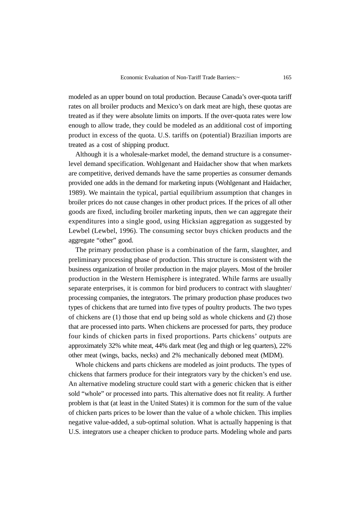modeled as an upper bound on total production. Because Canada's over-quota tariff rates on all broiler products and Mexico's on dark meat are high, these quotas are treated as if they were absolute limits on imports. If the over-quota rates were low enough to allow trade, they could be modeled as an additional cost of importing product in excess of the quota. U.S. tariffs on (potential) Brazilian imports are treated as a cost of shipping product.

Although it is a wholesale-market model, the demand structure is a consumerlevel demand specification. Wohlgenant and Haidacher show that when markets are competitive, derived demands have the same properties as consumer demands provided one adds in the demand for marketing inputs (Wohlgenant and Haidacher, 1989). We maintain the typical, partial equilibrium assumption that changes in broiler prices do not cause changes in other product prices. If the prices of all other goods are fixed, including broiler marketing inputs, then we can aggregate their expenditures into a single good, using Hicksian aggregation as suggested by Lewbel (Lewbel, 1996). The consuming sector buys chicken products and the aggregate "other" good.

The primary production phase is a combination of the farm, slaughter, and preliminary processing phase of production. This structure is consistent with the business organization of broiler production in the major players. Most of the broiler production in the Western Hemisphere is integrated. While farms are usually separate enterprises, it is common for bird producers to contract with slaughter/ processing companies, the integrators. The primary production phase produces two types of chickens that are turned into five types of poultry products. The two types of chickens are (1) those that end up being sold as whole chickens and (2) those that are processed into parts. When chickens are processed for parts, they produce four kinds of chicken parts in fixed proportions. Parts chickens' outputs are approximately 32% white meat, 44% dark meat (leg and thigh or leg quarters), 22% other meat (wings, backs, necks) and 2% mechanically deboned meat (MDM).

Whole chickens and parts chickens are modeled as joint products. The types of chickens that farmers produce for their integrators vary by the chicken's end use. An alternative modeling structure could start with a generic chicken that is either sold "whole" or processed into parts. This alternative does not fit reality. A further problem is that (at least in the United States) it is common for the sum of the value of chicken parts prices to be lower than the value of a whole chicken. This implies negative value-added, a sub-optimal solution. What is actually happening is that U.S. integrators use a cheaper chicken to produce parts. Modeling whole and parts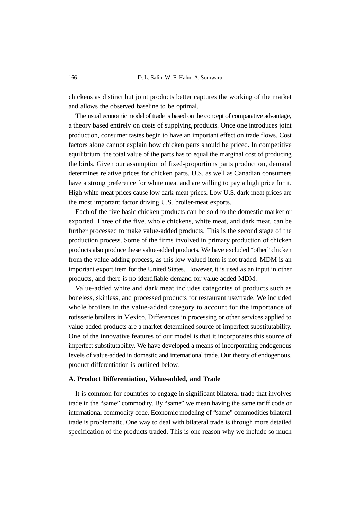chickens as distinct but joint products better captures the working of the market and allows the observed baseline to be optimal.

The usual economic model of trade is based on the concept of comparative advantage, a theory based entirely on costs of supplying products. Once one introduces joint production, consumer tastes begin to have an important effect on trade flows. Cost factors alone cannot explain how chicken parts should be priced. In competitive equilibrium, the total value of the parts has to equal the marginal cost of producing the birds. Given our assumption of fixed-proportions parts production, demand determines relative prices for chicken parts. U.S. as well as Canadian consumers have a strong preference for white meat and are willing to pay a high price for it. High white-meat prices cause low dark-meat prices. Low U.S. dark-meat prices are the most important factor driving U.S. broiler-meat exports.

Each of the five basic chicken products can be sold to the domestic market or exported. Three of the five, whole chickens, white meat, and dark meat, can be further processed to make value-added products. This is the second stage of the production process. Some of the firms involved in primary production of chicken products also produce these value-added products. We have excluded "other" chicken from the value-adding process, as this low-valued item is not traded. MDM is an important export item for the United States. However, it is used as an input in other products, and there is no identifiable demand for value-added MDM.

Value-added white and dark meat includes categories of products such as boneless, skinless, and processed products for restaurant use/trade. We included whole broilers in the value-added category to account for the importance of rotisserie broilers in Mexico. Differences in processing or other services applied to value-added products are a market-determined source of imperfect substitutability. One of the innovative features of our model is that it incorporates this source of imperfect substitutability. We have developed a means of incorporating endogenous levels of value-added in domestic and international trade. Our theory of endogenous, product differentiation is outlined below.

#### **A. Product Differentiation, Value-added, and Trade**

It is common for countries to engage in significant bilateral trade that involves trade in the "same" commodity. By "same" we mean having the same tariff code or international commodity code. Economic modeling of "same" commodities bilateral trade is problematic. One way to deal with bilateral trade is through more detailed specification of the products traded. This is one reason why we include so much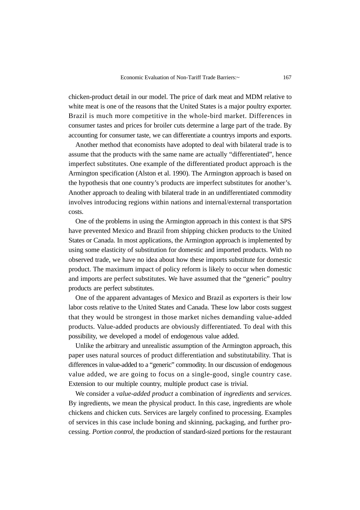chicken-product detail in our model. The price of dark meat and MDM relative to white meat is one of the reasons that the United States is a major poultry exporter. Brazil is much more competitive in the whole-bird market. Differences in consumer tastes and prices for broiler cuts determine a large part of the trade. By accounting for consumer taste, we can differentiate a countrys imports and exports.

Another method that economists have adopted to deal with bilateral trade is to assume that the products with the same name are actually "differentiated", hence imperfect substitutes. One example of the differentiated product approach is the Armington specification (Alston et al. 1990). The Armington approach is based on the hypothesis that one country's products are imperfect substitutes for another's. Another approach to dealing with bilateral trade in an undifferentiated commodity involves introducing regions within nations and internal/external transportation costs.

One of the problems in using the Armington approach in this context is that SPS have prevented Mexico and Brazil from shipping chicken products to the United States or Canada. In most applications, the Armington approach is implemented by using some elasticity of substitution for domestic and imported products. With no observed trade, we have no idea about how these imports substitute for domestic product. The maximum impact of policy reform is likely to occur when domestic and imports are perfect substitutes. We have assumed that the "generic" poultry products are perfect substitutes.

One of the apparent advantages of Mexico and Brazil as exporters is their low labor costs relative to the United States and Canada. These low labor costs suggest that they would be strongest in those market niches demanding value-added products. Value-added products are obviously differentiated. To deal with this possibility, we developed a model of endogenous value added.

Unlike the arbitrary and unrealistic assumption of the Armington approach, this paper uses natural sources of product differentiation and substitutability. That is differences in value-added to a "generic" commodity. In our discussion of endogenous value added, we are going to focus on a single-good, single country case. Extension to our multiple country, multiple product case is trivial.

We consider a *value-added product* a combination of *ingredients* and *services*. By ingredients, we mean the physical product. In this case, ingredients are whole chickens and chicken cuts. Services are largely confined to processing. Examples of services in this case include boning and skinning, packaging, and further processing. *Portion control*, the production of standard-sized portions for the restaurant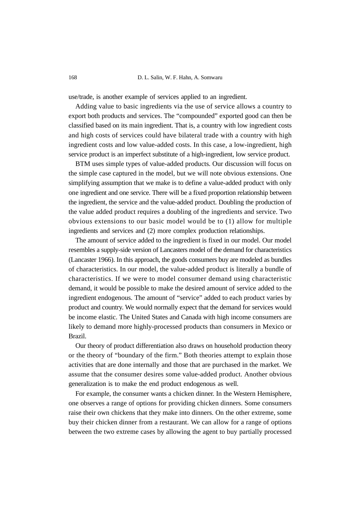168 D. L. Salin, W. F. Hahn, A. Somwaru

use/trade, is another example of services applied to an ingredient.

Adding value to basic ingredients via the use of service allows a country to export both products and services. The "compounded" exported good can then be classified based on its main ingredient. That is, a country with low ingredient costs and high costs of services could have bilateral trade with a country with high ingredient costs and low value-added costs. In this case, a low-ingredient, high service product is an imperfect substitute of a high-ingredient, low service product.

BTM uses simple types of value-added products. Our discussion will focus on the simple case captured in the model, but we will note obvious extensions. One simplifying assumption that we make is to define a value-added product with only one ingredient and one service. There will be a fixed proportion relationship between the ingredient, the service and the value-added product. Doubling the production of the value added product requires a doubling of the ingredients and service. Two obvious extensions to our basic model would be to (1) allow for multiple ingredients and services and (2) more complex production relationships.

The amount of service added to the ingredient is fixed in our model. Our model resembles a supply-side version of Lancasters model of the demand for characteristics (Lancaster 1966). In this approach, the goods consumers buy are modeled as bundles of characteristics. In our model, the value-added product is literally a bundle of characteristics. If we were to model consumer demand using characteristic demand, it would be possible to make the desired amount of service added to the ingredient endogenous. The amount of "service" added to each product varies by product and country. We would normally expect that the demand for services would be income elastic. The United States and Canada with high income consumers are likely to demand more highly-processed products than consumers in Mexico or Brazil.

Our theory of product differentiation also draws on household production theory or the theory of "boundary of the firm." Both theories attempt to explain those activities that are done internally and those that are purchased in the market. We assume that the consumer desires some value-added product. Another obvious generalization is to make the end product endogenous as well.

For example, the consumer wants a chicken dinner. In the Western Hemisphere, one observes a range of options for providing chicken dinners. Some consumers raise their own chickens that they make into dinners. On the other extreme, some buy their chicken dinner from a restaurant. We can allow for a range of options between the two extreme cases by allowing the agent to buy partially processed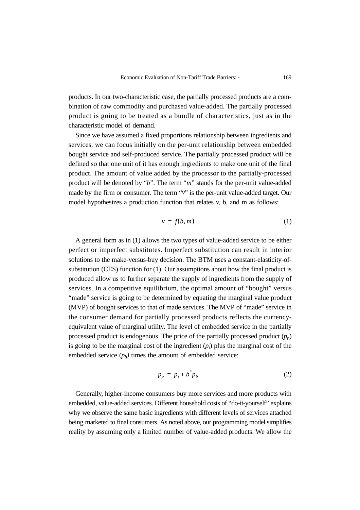products. In our two-characteristic case, the partially processed products are a combination of raw commodity and purchased value-added. The partially processed product is going to be treated as a bundle of characteristics, just as in the characteristic model of demand.

Since we have assumed a fixed proportions relationship between ingredients and services, we can focus initially on the per-unit relationship between embedded bought service and self-produced service. The partially processed product will be defined so that one unit of it has enough ingredients to make one unit of the final product. The amount of value added by the processor to the partially-processed product will be denoted by "*b*". The term "*m*" stands for the per-unit value-added made by the firm or consumer. The term "*v*" is the per-unit value-added target. Our model hypothesizes a production function that relates v, b, and m as follows:

$$
v = f(b, m) \tag{1}
$$

A general form as in (1) allows the two types of value-added service to be either perfect or imperfect substitutes. Imperfect substitution can result in interior solutions to the make-versus-buy decision. The BTM uses a constant-elasticity-ofsubstitution (CES) function for (1). Our assumptions about how the final product is produced allow us to further separate the supply of ingredients from the supply of services. In a competitive equilibrium, the optimal amount of "bought" versus "made" service is going to be determined by equating the marginal value product (MVP) of bought services to that of made services. The MVP of "made" service in the consumer demand for partially processed products reflects the currencyequivalent value of marginal utility. The level of embedded service in the partially processed product is endogenous. The price of the partially processed product  $(p_n)$ is going to be the marginal cost of the ingredient  $(p_i)$  plus the marginal cost of the embedded service  $(p_b)$  times the amount of embedded service:

$$
p_p = p_i + b^* p_b \tag{2}
$$

Generally, higher-income consumers buy more services and more products with embedded, value-added services. Different household costs of "do-it-yourself" explains why we observe the same basic ingredients with different levels of services attached being marketed to final consumers. As noted above, our programming model simplifies reality by assuming only a limited number of value-added products. We allow the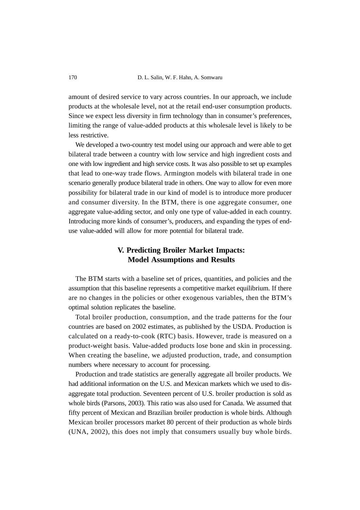170 D. L. Salin, W. F. Hahn, A. Somwaru

amount of desired service to vary across countries. In our approach, we include products at the wholesale level, not at the retail end-user consumption products. Since we expect less diversity in firm technology than in consumer's preferences, limiting the range of value-added products at this wholesale level is likely to be less restrictive.

We developed a two-country test model using our approach and were able to get bilateral trade between a country with low service and high ingredient costs and one with low ingredient and high service costs. It was also possible to set up examples that lead to one-way trade flows. Armington models with bilateral trade in one scenario generally produce bilateral trade in others. One way to allow for even more possibility for bilateral trade in our kind of model is to introduce more producer and consumer diversity. In the BTM, there is one aggregate consumer, one aggregate value-adding sector, and only one type of value-added in each country. Introducing more kinds of consumer's, producers, and expanding the types of enduse value-added will allow for more potential for bilateral trade.

# **V. Predicting Broiler Market Impacts: Model Assumptions and Results**

The BTM starts with a baseline set of prices, quantities, and policies and the assumption that this baseline represents a competitive market equilibrium. If there are no changes in the policies or other exogenous variables, then the BTM's optimal solution replicates the baseline.

Total broiler production, consumption, and the trade patterns for the four countries are based on 2002 estimates, as published by the USDA. Production is calculated on a ready-to-cook (RTC) basis. However, trade is measured on a product-weight basis. Value-added products lose bone and skin in processing. When creating the baseline, we adjusted production, trade, and consumption numbers where necessary to account for processing.

Production and trade statistics are generally aggregate all broiler products. We had additional information on the U.S. and Mexican markets which we used to disaggregate total production. Seventeen percent of U.S. broiler production is sold as whole birds (Parsons, 2003). This ratio was also used for Canada. We assumed that fifty percent of Mexican and Brazilian broiler production is whole birds. Although Mexican broiler processors market 80 percent of their production as whole birds (UNA, 2002), this does not imply that consumers usually buy whole birds.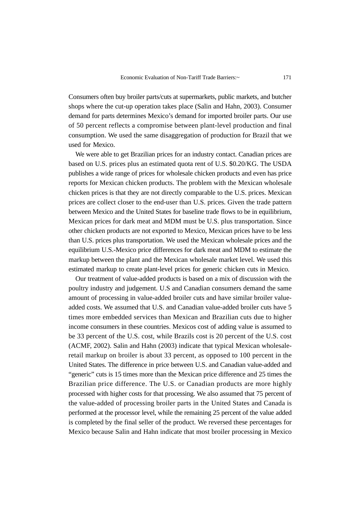Consumers often buy broiler parts/cuts at supermarkets, public markets, and butcher shops where the cut-up operation takes place (Salin and Hahn, 2003). Consumer demand for parts determines Mexico's demand for imported broiler parts. Our use of 50 percent reflects a compromise between plant-level production and final consumption. We used the same disaggregation of production for Brazil that we used for Mexico.

We were able to get Brazilian prices for an industry contact. Canadian prices are based on U.S. prices plus an estimated quota rent of U.S. \$0.20/KG. The USDA publishes a wide range of prices for wholesale chicken products and even has price reports for Mexican chicken products. The problem with the Mexican wholesale chicken prices is that they are not directly comparable to the U.S. prices. Mexican prices are collect closer to the end-user than U.S. prices. Given the trade pattern between Mexico and the United States for baseline trade flows to be in equilibrium, Mexican prices for dark meat and MDM must be U.S. plus transportation. Since other chicken products are not exported to Mexico, Mexican prices have to be less than U.S. prices plus transportation. We used the Mexican wholesale prices and the equilibrium U.S.-Mexico price differences for dark meat and MDM to estimate the markup between the plant and the Mexican wholesale market level. We used this estimated markup to create plant-level prices for generic chicken cuts in Mexico.

Our treatment of value-added products is based on a mix of discussion with the poultry industry and judgement. U.S and Canadian consumers demand the same amount of processing in value-added broiler cuts and have similar broiler valueadded costs. We assumed that U.S. and Canadian value-added broiler cuts have 5 times more embedded services than Mexican and Brazilian cuts due to higher income consumers in these countries. Mexicos cost of adding value is assumed to be 33 percent of the U.S. cost, while Brazils cost is 20 percent of the U.S. cost (ACMF, 2002). Salin and Hahn (2003) indicate that typical Mexican wholesaleretail markup on broiler is about 33 percent, as opposed to 100 percent in the United States. The difference in price between U.S. and Canadian value-added and "generic" cuts is 15 times more than the Mexican price difference and 25 times the Brazilian price difference. The U.S. or Canadian products are more highly processed with higher costs for that processing. We also assumed that 75 percent of the value-added of processing broiler parts in the United States and Canada is performed at the processor level, while the remaining 25 percent of the value added is completed by the final seller of the product. We reversed these percentages for Mexico because Salin and Hahn indicate that most broiler processing in Mexico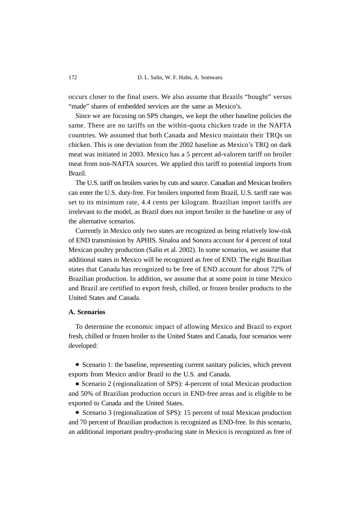occurs closer to the final users. We also assume that Brazils "bought" versus "made" shares of embedded services are the same as Mexico's.

Since we are focusing on SPS changes, we kept the other baseline policies the same. There are no tariffs on the within-quota chicken trade in the NAFTA countries. We assumed that both Canada and Mexico maintain their TRQs on chicken. This is one deviation from the 2002 baseline as Mexico's TRQ on dark meat was initiated in 2003. Mexico has a 5 percent ad-valorem tariff on broiler meat from non-NAFTA sources. We applied this tariff to potential imports from Brazil.

The U.S. tariff on broilers varies by cuts and source. Canadian and Mexican broilers can enter the U.S. duty-free. For broilers imported from Brazil, U.S. tariff rate was set to its minimum rate, 4.4 cents per kilogram. Brazilian import tariffs are irrelevant to the model, as Brazil does not import broiler in the baseline or any of the alternative scenarios.

Currently in Mexico only two states are recognized as being relatively low-risk of END transmission by APHIS. Sinaloa and Sonora account for 4 percent of total Mexican poultry production (Salin et al. 2002). In some scenarios, we assume that additional states in Mexico will be recognized as free of END. The eight Brazilian states that Canada has recognized to be free of END account for about 72% of Brazilian production. In addition, we assume that at some point in time Mexico and Brazil are certified to export fresh, chilled, or frozen broiler products to the United States and Canada.

### **A. Scenarios**

To determine the economic impact of allowing Mexico and Brazil to export fresh, chilled or frozen broiler to the United States and Canada, four scenarios were developed:

• Scenario 1: the baseline, representing current sanitary policies, which prevent exports from Mexico and/or Brazil to the U.S. and Canada.

• Scenario 2 (regionalization of SPS): 4-percent of total Mexican production and 50% of Brazilian production occurs in END-free areas and is eligible to be exported to Canada and the United States.

• Scenario 3 (regionalization of SPS): 15 percent of total Mexican production and 70 percent of Brazilian production is recognized as END-free. In this scenario, an additional important poultry-producing state in Mexico is recognized as free of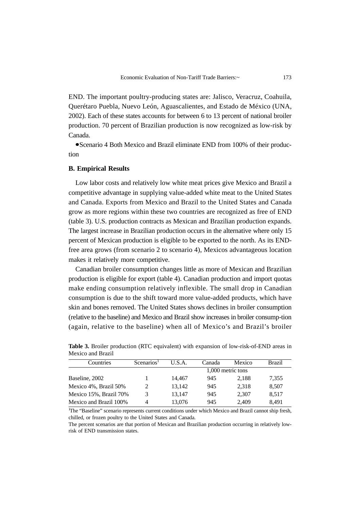END. The important poultry-producing states are: Jalisco, Veracruz, Coahuila, Querétaro Puebla, Nuevo León, Aguascalientes, and Estado de México (UNA, 2002). Each of these states accounts for between 6 to 13 percent of national broiler production. 70 percent of Brazilian production is now recognized as low-risk by Canada.

Scenario 4 Both Mexico and Brazil eliminate END from 100% of their production

### **B. Empirical Results**

Low labor costs and relatively low white meat prices give Mexico and Brazil a competitive advantage in supplying value-added white meat to the United States and Canada. Exports from Mexico and Brazil to the United States and Canada grow as more regions within these two countries are recognized as free of END (table 3). U.S. production contracts as Mexican and Brazilian production expands. The largest increase in Brazilian production occurs in the alternative where only 15 percent of Mexican production is eligible to be exported to the north. As its ENDfree area grows (from scenario 2 to scenario 4), Mexicos advantageous location makes it relatively more competitive.

Canadian broiler consumption changes little as more of Mexican and Brazilian production is eligible for export (table 4). Canadian production and import quotas make ending consumption relatively inflexible. The small drop in Canadian consumption is due to the shift toward more value-added products, which have skin and bones removed. The United States shows declines in broiler consumption (relative to the baseline) and Mexico and Brazil show increases in broiler consump-tion (again, relative to the baseline) when all of Mexico's and Brazil's broiler

| Countries              | Scenarios <sup>1</sup> | U.S.A. | Canada | Mexico            | Brazil |
|------------------------|------------------------|--------|--------|-------------------|--------|
|                        |                        |        |        | 1,000 metric tons |        |
| Baseline, 2002         |                        | 14.467 | 945    | 2.188             | 7,355  |
| Mexico 4%, Brazil 50%  | 2                      | 13.142 | 945    | 2.318             | 8,507  |
| Mexico 15%, Brazil 70% | 3                      | 13.147 | 945    | 2,307             | 8,517  |
| Mexico and Brazil 100% | 4                      | 13,076 | 945    | 2.409             | 8,491  |

**Table 3.** Broiler production (RTC equivalent) with expansion of low-risk-of-END areas in Mexico and Brazil

1 The "Baseline" scenario represents current conditions under which Mexico and Brazil cannot ship fresh, chilled, or frozen poultry to the United States and Canada.

The percent scenarios are that portion of Mexican and Brazilian production occurring in relatively lowrisk of END transmission states.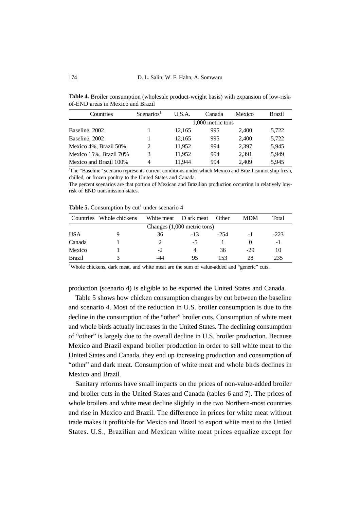**Table 4.** Broiler consumption (wholesale product-weight basis) with expansion of low-riskof-END areas in Mexico and Brazil

| Countries              | Scenarios <sup>1</sup> | U.S.A. | Canada            | Mexico | <b>Brazil</b> |
|------------------------|------------------------|--------|-------------------|--------|---------------|
|                        |                        |        | 1,000 metric tons |        |               |
| Baseline, 2002         |                        | 12.165 | 995               | 2.400  | 5,722         |
| Baseline, 2002         |                        | 12,165 | 995               | 2.400  | 5,722         |
| Mexico 4%, Brazil 50%  | $\mathcal{L}$          | 11,952 | 994               | 2.397  | 5,945         |
| Mexico 15%, Brazil 70% | 3                      | 11,952 | 994               | 2.391  | 5,949         |
| Mexico and Brazil 100% | 4                      | 11.944 | 994               | 2,409  | 5,945         |

The percent scenarios are that portion of Mexican and Brazilian production occurring in relatively lowrisk of END transmission states.

**Table 5.** Consumption by  $cut<sup>1</sup>$  under scenario 4

| Countries     | Whole chickens | White meat | D ark meat                  | Other  | <b>MDM</b> | Total  |
|---------------|----------------|------------|-----------------------------|--------|------------|--------|
|               |                |            | Changes (1,000 metric tons) |        |            |        |
| <b>USA</b>    |                | 36         | $-13$                       | $-254$ | -1         | $-223$ |
| Canada        |                |            | -5                          |        |            | -1     |
| Mexico        |                | $-2$       | 4                           | 36     | $-29$      | 10     |
| <b>Brazil</b> |                | -44        | 95                          | 153    | 28         | 235    |

<sup>1</sup>Whole chickens, dark meat, and white meat are the sum of value-added and "generic" cuts.

production (scenario 4) is eligible to be exported the United States and Canada.

Table 5 shows how chicken consumption changes by cut between the baseline and scenario 4. Most of the reduction in U.S. broiler consumption is due to the decline in the consumption of the "other" broiler cuts. Consumption of white meat and whole birds actually increases in the United States. The declining consumption of "other" is largely due to the overall decline in U.S. broiler production. Because Mexico and Brazil expand broiler production in order to sell white meat to the United States and Canada, they end up increasing production and consumption of "other" and dark meat. Consumption of white meat and whole birds declines in Mexico and Brazil.

Sanitary reforms have small impacts on the prices of non-value-added broiler and broiler cuts in the United States and Canada (tables 6 and 7). The prices of whole broilers and white meat decline slightly in the two Northern-most countries and rise in Mexico and Brazil. The difference in prices for white meat without trade makes it profitable for Mexico and Brazil to export white meat to the Untied States. U.S., Brazilian and Mexican white meat prices equalize except for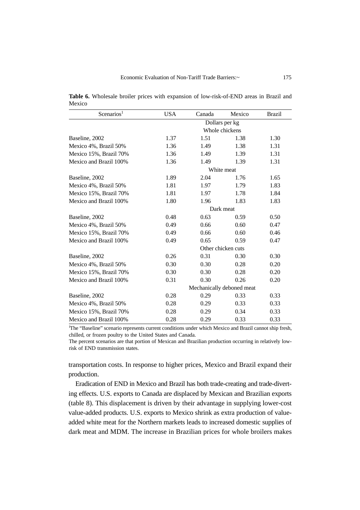**Table 6.** Wholesale broiler prices with expansion of low-risk-of-END areas in Brazil and Mexico

| Scenarios <sup>1</sup> | <b>USA</b>                | Canada | Mexico             | <b>Brazil</b> |  |  |
|------------------------|---------------------------|--------|--------------------|---------------|--|--|
|                        | Dollars per kg            |        |                    |               |  |  |
|                        |                           |        | Whole chickens     |               |  |  |
| Baseline, 2002         | 1.37                      | 1.51   | 1.38               | 1.30          |  |  |
| Mexico 4%, Brazil 50%  | 1.36                      | 1.49   | 1.38               | 1.31          |  |  |
| Mexico 15%, Brazil 70% | 1.36                      | 1.49   | 1.39               | 1.31          |  |  |
| Mexico and Brazil 100% | 1.36                      | 1.49   | 1.39               | 1.31          |  |  |
|                        |                           |        | White meat         |               |  |  |
| Baseline, 2002         | 1.89                      | 2.04   | 1.76               | 1.65          |  |  |
| Mexico 4%, Brazil 50%  | 1.81                      | 1.97   | 1.79               | 1.83          |  |  |
| Mexico 15%, Brazil 70% | 1.81                      | 1.97   | 1.78               | 1.84          |  |  |
| Mexico and Brazil 100% | 1.80                      | 1.96   | 1.83               | 1.83          |  |  |
|                        |                           |        | Dark meat          |               |  |  |
| Baseline, 2002         | 0.48                      | 0.63   | 0.59               | 0.50          |  |  |
| Mexico 4%, Brazil 50%  | 0.49                      | 0.66   | 0.60               | 0.47          |  |  |
| Mexico 15%, Brazil 70% | 0.49                      | 0.66   | 0.60               | 0.46          |  |  |
| Mexico and Brazil 100% | 0.49                      | 0.65   | 0.59               | 0.47          |  |  |
|                        |                           |        | Other chicken cuts |               |  |  |
| Baseline, 2002         | 0.26                      | 0.31   | 0.30               | 0.30          |  |  |
| Mexico 4%, Brazil 50%  | 0.30                      | 0.30   | 0.28               | 0.20          |  |  |
| Mexico 15%, Brazil 70% | 0.30                      | 0.30   | 0.28               | 0.20          |  |  |
| Mexico and Brazil 100% | 0.31                      | 0.30   | 0.26               | 0.20          |  |  |
|                        | Mechanically deboned meat |        |                    |               |  |  |
| Baseline, 2002         | 0.28                      | 0.29   | 0.33               | 0.33          |  |  |
| Mexico 4%, Brazil 50%  | 0.28                      | 0.29   | 0.33               | 0.33          |  |  |
| Mexico 15%, Brazil 70% | 0.28                      | 0.29   | 0.34               | 0.33          |  |  |
| Mexico and Brazil 100% | 0.28                      | 0.29   | 0.33               | 0.33          |  |  |

The percent scenarios are that portion of Mexican and Brazilian production occurring in relatively lowrisk of END transmission states.

transportation costs. In response to higher prices, Mexico and Brazil expand their production.

Eradication of END in Mexico and Brazil has both trade-creating and trade-diverting effects. U.S. exports to Canada are displaced by Mexican and Brazilian exports (table 8). This displacement is driven by their advantage in supplying lower-cost value-added products. U.S. exports to Mexico shrink as extra production of valueadded white meat for the Northern markets leads to increased domestic supplies of dark meat and MDM. The increase in Brazilian prices for whole broilers makes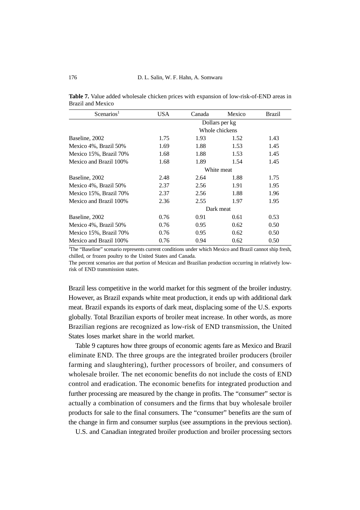| Scenarios <sup>1</sup> | USA        | Canada    | Mexico         | Brazil |  |  |  |
|------------------------|------------|-----------|----------------|--------|--|--|--|
|                        |            |           | Dollars per kg |        |  |  |  |
|                        |            |           | Whole chickens |        |  |  |  |
| Baseline, 2002         | 1.75       | 1.93      | 1.52           | 1.43   |  |  |  |
| Mexico 4%, Brazil 50%  | 1.69       | 1.88      | 1.53           | 1.45   |  |  |  |
| Mexico 15%, Brazil 70% | 1.68       | 1.88      | 1.53           | 1.45   |  |  |  |
| Mexico and Brazil 100% | 1.68       | 1.89      | 1.54           | 1.45   |  |  |  |
|                        | White meat |           |                |        |  |  |  |
| Baseline, 2002         | 2.48       | 2.64      | 1.88           | 1.75   |  |  |  |
| Mexico 4%, Brazil 50%  | 2.37       | 2.56      | 1.91           | 1.95   |  |  |  |
| Mexico 15%, Brazil 70% | 2.37       | 2.56      | 1.88           | 1.96   |  |  |  |
| Mexico and Brazil 100% | 2.36       | 2.55      | 1.97           | 1.95   |  |  |  |
|                        |            | Dark meat |                |        |  |  |  |
| Baseline, 2002         | 0.76       | 0.91      | 0.61           | 0.53   |  |  |  |
| Mexico 4%, Brazil 50%  | 0.76       | 0.95      | 0.62           | 0.50   |  |  |  |
| Mexico 15%, Brazil 70% | 0.76       | 0.95      | 0.62           | 0.50   |  |  |  |
| Mexico and Brazil 100% | 0.76       | 0.94      | 0.62           | 0.50   |  |  |  |

**Table 7.** Value added wholesale chicken prices with expansion of low-risk-of-END areas in Brazil and Mexico

The percent scenarios are that portion of Mexican and Brazilian production occurring in relatively lowrisk of END transmission states.

Brazil less competitive in the world market for this segment of the broiler industry. However, as Brazil expands white meat production, it ends up with additional dark meat. Brazil expands its exports of dark meat, displacing some of the U.S. exports globally. Total Brazilian exports of broiler meat increase. In other words, as more Brazilian regions are recognized as low-risk of END transmission, the United States loses market share in the world market.

Table 9 captures how three groups of economic agents fare as Mexico and Brazil eliminate END. The three groups are the integrated broiler producers (broiler farming and slaughtering), further processors of broiler, and consumers of wholesale broiler. The net economic benefits do not include the costs of END control and eradication. The economic benefits for integrated production and further processing are measured by the change in profits. The "consumer" sector is actually a combination of consumers and the firms that buy wholesale broiler products for sale to the final consumers. The "consumer" benefits are the sum of the change in firm and consumer surplus (see assumptions in the previous section).

U.S. and Canadian integrated broiler production and broiler processing sectors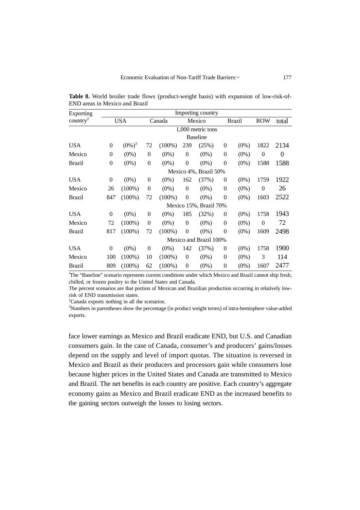| Exporting            | Importing country |                        |              |           |                |                        |                |               |          |       |
|----------------------|-------------------|------------------------|--------------|-----------|----------------|------------------------|----------------|---------------|----------|-------|
| country <sup>2</sup> |                   | <b>USA</b>             |              | Canada    | Mexico         |                        |                | <b>Brazil</b> |          | total |
|                      |                   |                        |              |           |                | 1,000 metric tons      |                |               |          |       |
|                      |                   |                        |              |           |                | <b>Baseline</b>        |                |               |          |       |
| <b>USA</b>           | $\overline{0}$    | $(0\%)^3$              | 72           | $(100\%)$ | 239            | (25%)                  | $\theta$       | $(0\%)$       | 1822     | 2134  |
| Mexico               | $\overline{0}$    | $(0\%)$                | $\theta$     | $(0\%)$   | $\theta$       | $(0\%)$                | $\theta$       | $(0\%)$       | $\theta$ | 0     |
| <b>Brazil</b>        | $\mathbf{0}$      | $(0\%)$                | $\mathbf{0}$ | $(0\%)$   | $\theta$       | $(0\%)$                | $\overline{0}$ | $(0\%)$       | 1588     | 1588  |
|                      |                   |                        |              |           |                | Mexico 4%, Brazil 50%  |                |               |          |       |
| <b>USA</b>           | $\overline{0}$    | $(0\%)$                | $\theta$     | $(0\%)$   | 162            | (37%)                  | $\theta$       | $(0\%)$       | 1759     | 1922  |
| Mexico               | 26                | $(100\%)$              | $\Omega$     | $(0\%)$   | $\theta$       | $(0\%)$                | $\overline{0}$ | $(0\%)$       | $\theta$ | 26    |
| <b>Brazil</b>        | 847               | $(100\%)$              | 72           | $(100\%)$ | $\overline{0}$ | $(0\%)$                | $\overline{0}$ | $(0\%)$       | 1603     | 2522  |
|                      |                   |                        |              |           |                | Mexico 15%, Brazil 70% |                |               |          |       |
| <b>USA</b>           | $\overline{0}$    | $(0\%)$                | $\theta$     | $(0\%)$   | 185            | (32%)                  | $\theta$       | $(0\%)$       | 1758     | 1943  |
| Mexico               | 72                | $(100\%)$              | $\theta$     | $(0\%)$   | $\Omega$       | $(0\%)$                | $\theta$       | $(0\%)$       | $\theta$ | 72    |
| <b>Brazil</b>        | 817               | $(100\%)$              | 72           | $(100\%)$ | $\theta$       | $(0\%)$                | $\overline{0}$ | $(0\%)$       | 1609     | 2498  |
|                      |                   | Mexico and Brazil 100% |              |           |                |                        |                |               |          |       |
| <b>USA</b>           | $\overline{0}$    | $(0\%)$                | $\Omega$     | $(0\%)$   | 142            | (37%)                  | $\theta$       | $(0\%)$       | 1758     | 1900  |
| Mexico               | 100               | $(100\%)$              | 10           | $(100\%)$ | $\theta$       | $(0\%)$                | $\overline{0}$ | $(0\%)$       | 3        | 114   |
| <b>Brazil</b>        | 809               | $(100\%)$              | 62           | $(100\%)$ | $\theta$       | $(0\%)$                | $\overline{0}$ | $(0\%)$       | 1607     | 2477  |

**Table 8.** World broiler trade flows (product-weight basis) with expansion of low-risk-of-END areas in Mexico and Brazil

The percent scenarios are that portion of Mexican and Brazilian production occurring in relatively lowrisk of END transmission states.

<sup>2</sup>Canada exports nothing in all the scenarios.

3 Numbers in parentheses show the percentage (in product weight terms) of intra-hemisphere value-added exports.

face lower earnings as Mexico and Brazil eradicate END, but U.S. and Canadian consumers gain. In the case of Canada, consumer's and producers' gains/losses depend on the supply and level of import quotas. The situation is reversed in Mexico and Brazil as their producers and processors gain while consumers lose because higher prices in the United States and Canada are transmitted to Mexico and Brazil. The net benefits in each country are positive. Each country's aggregate economy gains as Mexico and Brazil eradicate END as the increased benefits to the gaining sectors outweigh the losses to losing sectors.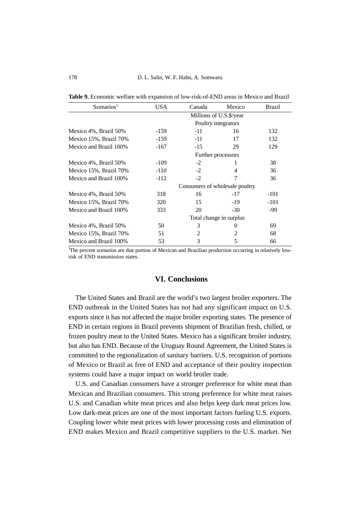| Scenarios <sup>1</sup> | <b>USA</b>                     | Canada                   | Mexico              | <b>Brazil</b> |  |  |
|------------------------|--------------------------------|--------------------------|---------------------|---------------|--|--|
|                        |                                | Millions of U.S. \$/year |                     |               |  |  |
|                        |                                |                          | Poultry integrators |               |  |  |
| Mexico 4%, Brazil 50%  | -159                           | $-11$                    | 16                  | 132           |  |  |
| Mexico 15%, Brazil 70% | -159                           | $-11$                    | 17                  | 132           |  |  |
| Mexico and Brazil 100% | $-167$                         | $-15$                    | 29                  | 129           |  |  |
|                        |                                |                          | Further processors  |               |  |  |
| Mexico 4%, Brazil 50%  | -109                           | $-2$                     |                     | 38            |  |  |
| Mexico 15%, Brazil 70% | $-110$                         | $-2$                     | 4                   | 36            |  |  |
| Mexico and Brazil 100% | $-112$                         | $-2$                     | 7                   | 36            |  |  |
|                        | Consumers of wholesale poultry |                          |                     |               |  |  |
| Mexico 4%, Brazil 50%  | 318                            | 16                       | $-17$               | $-101$        |  |  |
| Mexico 15%, Brazil 70% | 320                            | 15                       | $-19$               | $-101$        |  |  |
| Mexico and Brazil 100% | 333                            | 20                       | $-30$               | -99           |  |  |
|                        | Total change in surplus        |                          |                     |               |  |  |
| Mexico 4%, Brazil 50%  | 50                             | 3                        | $\theta$            | 69            |  |  |
| Mexico 15%, Brazil 70% | 51                             | $\mathfrak{D}$           | $\mathfrak{D}$      | 68            |  |  |
| Mexico and Brazil 100% | 53                             | 3                        | 5                   | 66            |  |  |

**Table 9.** Economic welfare with expansion of low-risk-of-END areas in Mexico and Brazil

The percent scenarios are that portion of Mexican and Brazilian production occurring in relatively lowrisk of END transmission states.

# **VI. Conclusions**

The United States and Brazil are the world's two largest broiler exporters. The END outbreak in the United States has not had any significant impact on U.S. exports since it has not affected the major broiler exporting states. The presence of END in certain regions in Brazil prevents shipment of Brazilian fresh, chilled, or frozen poultry meat to the United States. Mexico has a significant broiler industry, but also has END. Because of the Uruguay Round Agreement, the United States is committed to the regionalization of sanitary barriers. U.S. recognition of portions of Mexico or Brazil as free of END and acceptance of their poultry inspection systems could have a major impact on world broiler trade.

U.S. and Canadian consumers have a stronger preference for white meat than Mexican and Brazilian consumers. This strong preference for white meat raises U.S. and Canadian white meat prices and also helps keep dark meat prices low. Low dark-meat prices are one of the most important factors fueling U.S. exports. Coupling lower white meat prices with lower processing costs and elimination of END makes Mexico and Brazil competitive suppliers to the U.S. market. Net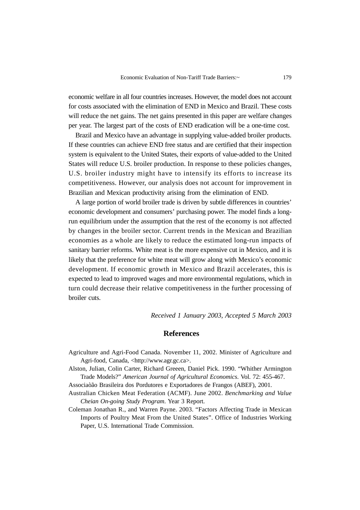economic welfare in all four countries increases. However, the model does not account for costs associated with the elimination of END in Mexico and Brazil. These costs will reduce the net gains. The net gains presented in this paper are welfare changes per year. The largest part of the costs of END eradication will be a one-time cost.

Brazil and Mexico have an advantage in supplying value-added broiler products. If these countries can achieve END free status and are certified that their inspection system is equivalent to the United States, their exports of value-added to the United States will reduce U.S. broiler production. In response to these policies changes, U.S. broiler industry might have to intensify its efforts to increase its competitiveness. However, our analysis does not account for improvement in Brazilian and Mexican productivity arising from the elimination of END.

A large portion of world broiler trade is driven by subtle differences in countries' economic development and consumers' purchasing power. The model finds a longrun equilibrium under the assumption that the rest of the economy is not affected by changes in the broiler sector. Current trends in the Mexican and Brazilian economies as a whole are likely to reduce the estimated long-run impacts of sanitary barrier reforms. White meat is the more expensive cut in Mexico, and it is likely that the preference for white meat will grow along with Mexico's economic development. If economic growth in Mexico and Brazil accelerates, this is expected to lead to improved wages and more environmental regulations, which in turn could decrease their relative competitiveness in the further processing of broiler cuts.

*Received 1 January 2003, Accepted 5 March 2003*

## **References**

- Agriculture and Agri-Food Canada. November 11, 2002. Minister of Agriculture and Agri-food, Canada, <http://www.agr.gc.ca>.
- Alston, Julian, Colin Carter, Richard Greeen, Daniel Pick. 1990. "Whither Armington Trade Models?" *American Journal of Agricultural Economics*. Vol. 72: 455-467.
- Associaòão Brasileira dos Pordutores e Exportadores de Frangos (ABEF), 2001.
- Australian Chicken Meat Federation (ACMF). June 2002. *Benchmarking and Value Cheian On-going Study Program*. Year 3 Report.

Coleman Jonathan R., and Warren Payne. 2003. "Factors Affecting Trade in Mexican Imports of Poultry Meat From the United States". Office of Industries Working Paper, U.S. International Trade Commission.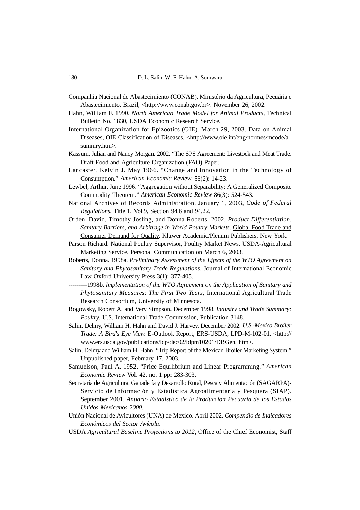- Companhia Nacional de Abastecimiento (CONAB), Ministério da Agricultura, Pecuária e Abastecimiento, Brazil, <http://www.conab.gov.br>. November 26, 2002.
- Hahn, William F. 1990. *North American Trade Model for Animal Products*, Technical Bulletin No. 1830, USDA Economic Research Service.
- International Organization for Epizootics (OIE). March 29, 2003. Data on Animal Diseases, OIE Classification of Diseases. <http://www.oie.int/eng/normes/mcode/a\_ summry.htm>.
- Kassum, Julian and Nancy Morgan. 2002. "The SPS Agreement: Livestock and Meat Trade. Draft Food and Agriculture Organization (FAO) Paper.
- Lancaster, Kelvin J. May 1966. "Change and Innovation in the Technology of Consumption." *American Economic Review,* 56(2): 14-23.
- Lewbel, Arthur. June 1996. "Aggregation without Separability: A Generalized Composite Commodity Theorem." *American Economic Review* 86(3): 524-543.
- National Archives of Records Administration. January 1, 2003, *Code of Federal Regulations*, Title 1, Vol.9, Section 94.6 and 94.22.
- Orden, David, Timothy Josling, and Donna Roberts. 2002. *Product Differentiation, Sanitary Barriers, and Arbitrage in World Poultry Markets*. Global Food Trade and Consumer Demand for Quality, Kluwer Academic/Plenum Publishers, New York.
- Parson Richard. National Poultry Supervisor, Poultry Market News. USDA-Agricultural Marketing Service. Personal Communication on March 6, 2003.
- Roberts, Donna. 1998a. *Preliminary Assessment of the Effects of the WTO Agreement on Sanitary and Phytosanitary Trade Regulations*, Journal of International Economic Law Oxford University Press 3(1): 377-405.
- ---------1998b. *Implementation of the WTO Agreement on the Application of Sanitary and Phytosanitary Measures: The First Two Years*, International Agricultural Trade Research Consortium, University of Minnesota.
- Rogowsky, Robert A. and Very Simpson. December 1998. *Industry and Trade Summary: Poultry*. U.S. International Trade Commission, Publication 3148.
- Salin, Delmy, William H. Hahn and David J. Harvey. December 2002. *U.S.-Mexico Broiler Trade: A Bird's Eye View.* E-Outlook Report, ERS-USDA, LPD-M-102-01. <http:// www.ers.usda.gov/publications/ldp/dec02/ldpm10201/DBGen. htm>.
- Salin, Delmy and William H. Hahn. "Trip Report of the Mexican Broiler Marketing System." Unpublished paper, February 17, 2003.
- Samuelson, Paul A. 1952. "Price Equilibrium and Linear Programming." *American Economic Review* Vol. 42, no. 1 pp: 283-303.
- Secretaría de Agricultura, Ganadería y Desarrollo Rural, Pesca y Alimentación (SAGARPA)- Servicio de Información y Estadística Agroalimentaria y Pesquera (SIAP). September 2001. *Anuario Estadístico de la Producción Pecuaria de los Estados Unidos Mexicanos 2000*.
- Unión Nacional de Avicultores (UNA) de Mexico. Abril 2002. *Compendio de Indicadores Económicos del Sector Avícola*.
- USDA *Agricultural Baseline Projections to 2012*, Office of the Chief Economist, Staff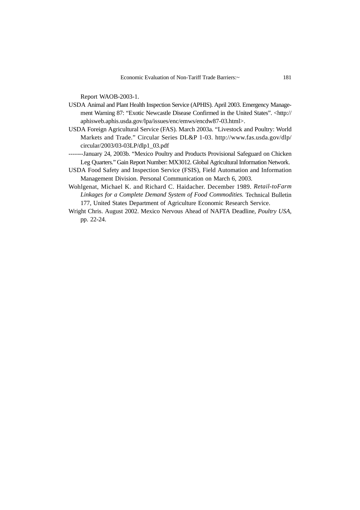Report WAOB-2003-1.

- USDA Animal and Plant Health Inspection Service (APHIS). April 2003. Emergency Management Warning 87: "Exotic Newcastle Disease Confirmed in the United States". <http:// aphisweb.aphis.usda.gov/lpa/issues/enc/emws/encdw87-03.html>.
- USDA Foreign Agricultural Service (FAS). March 2003a. "Livestock and Poultry: World Markets and Trade." Circular Series DL&P 1-03. http://www.fas.usda.gov/dlp/ circular/2003/03-03LP/dlp1\_03.pdf
- -------January 24, 2003b. "Mexico Poultry and Products Provisional Safeguard on Chicken Leg Quarters." Gain Report Number: MX3012. Global Agricultural Information Network.
- USDA Food Safety and Inspection Service (FSIS), Field Automation and Information Management Division. Personal Communication on March 6, 2003.
- Wohlgenat, Michael K. and Richard C. Haidacher. December 1989. *Retail-toFarm Linkages for a Complete Demand System of Food Commodities.* Technical Bulletin 177, United States Department of Agriculture Economic Research Service.
- Wright Chris. August 2002. Mexico Nervous Ahead of NAFTA Deadline, *Poultry USA*, pp. 22-24.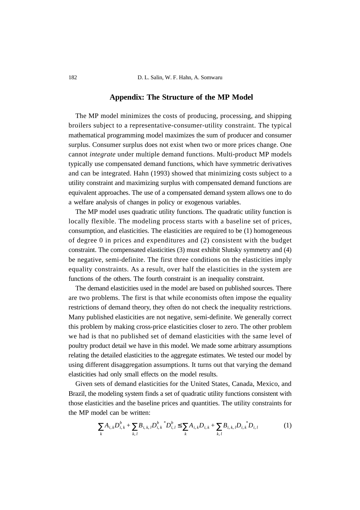### **Appendix: The Structure of the MP Model**

The MP model minimizes the costs of producing, processing, and shipping broilers subject to a representative-consumer-utility constraint. The typical mathematical programming model maximizes the sum of producer and consumer surplus. Consumer surplus does not exist when two or more prices change. One cannot *integrate* under multiple demand functions. Multi-product MP models typically use compensated demand functions, which have symmetric derivatives and can be integrated. Hahn (1993) showed that minimizing costs subject to a utility constraint and maximizing surplus with compensated demand functions are equivalent approaches. The use of a compensated demand system allows one to do a welfare analysis of changes in policy or exogenous variables.

The MP model uses quadratic utility functions. The quadratic utility function is locally flexible. The modeling process starts with a baseline set of prices, consumption, and elasticities. The elasticities are required to be (1) homogeneous of degree 0 in prices and expenditures and (2) consistent with the budget constraint. The compensated elasticities (3) must exhibit Slutsky symmetry and (4) be negative, semi-definite. The first three conditions on the elasticities imply equality constraints. As a result, over half the elasticities in the system are functions of the others. The fourth constraint is an inequality constraint.

The demand elasticities used in the model are based on published sources. There are two problems. The first is that while economists often impose the equality restrictions of demand theory, they often do not check the inequality restrictions. Many published elasticities are not negative, semi-definite. We generally correct this problem by making cross-price elasticities closer to zero. The other problem we had is that no published set of demand elasticities with the same level of poultry product detail we have in this model. We made some arbitrary assumptions relating the detailed elasticities to the aggregate estimates. We tested our model by using different disaggregation assumptions. It turns out that varying the demand elasticities had only small effects on the model results.

Given sets of demand elasticities for the United States, Canada, Mexico, and Brazil, the modeling system finds a set of quadratic utility functions consistent with those elasticities and the baseline prices and quantities. The utility constraints for the MP model can be written:

$$
\sum_{k} A_{i,k} D_{i,k}^{b} + \sum_{k,l} B_{i,k,l} D_{i,k}^{b} D_{i,l}^{b} \le \sum_{k} A_{i,k} D_{i,k} + \sum_{k,l} B_{i,k,l} D_{i,k} D_{i,l}^{b} \tag{1}
$$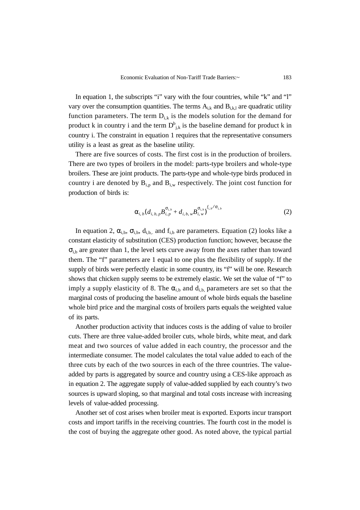In equation 1, the subscripts "i" vary with the four countries, while "k" and "l" vary over the consumption quantities. The terms  $A_{i,k}$  and  $B_{i,k,l}$  are quadratic utility function parameters. The term  $D_{i,k}$  is the models solution for the demand for product k in country i and the term  $D_{j,k}^b$  is the baseline demand for product k in country i. The constraint in equation 1 requires that the representative consumers utility is a least as great as the baseline utility.

There are five sources of costs. The first cost is in the production of broilers. There are two types of broilers in the model: parts-type broilers and whole-type broilers. These are joint products. The parts-type and whole-type birds produced in country i are denoted by  $B_{i,p}$  and  $B_{i,w}$  respectively. The joint cost function for production of birds is:

$$
\alpha_{i,b}(d_{i,b,p}B_{i,p}^{\sigma_{i,b}}+d_{i,b,w}B_{i,w}^{\sigma_{i,b}})^{f_{i,b}/\sigma_{i,b}}
$$
\n(2)

In equation 2,  $\alpha_{i,b}$ ,  $\sigma_{i,b}$ ,  $d_{i,b}$ , and  $f_{i,b}$  are parameters. Equation (2) looks like a constant elasticity of substitution (CES) production function; however, because the  $\sigma_{i,b}$  are greater than 1, the level sets curve away from the axes rather than toward them. The "f" parameters are 1 equal to one plus the flexibility of supply. If the supply of birds were perfectly elastic in some country, its "f" will be one. Research shows that chicken supply seems to be extremely elastic. We set the value of "f" to imply a supply elasticity of 8. The  $\alpha_{i,b}$  and  $d_{i,b}$  parameters are set so that the marginal costs of producing the baseline amount of whole birds equals the baseline whole bird price and the marginal costs of broilers parts equals the weighted value of its parts.

Another production activity that induces costs is the adding of value to broiler cuts. There are three value-added broiler cuts, whole birds, white meat, and dark meat and two sources of value added in each country, the processor and the intermediate consumer. The model calculates the total value added to each of the three cuts by each of the two sources in each of the three countries. The valueadded by parts is aggregated by source and country using a CES-like approach as in equation 2. The aggregate supply of value-added supplied by each country's two sources is upward sloping, so that marginal and total costs increase with increasing levels of value-added processing.

Another set of cost arises when broiler meat is exported. Exports incur transport costs and import tariffs in the receiving countries. The fourth cost in the model is the cost of buying the aggregate other good. As noted above, the typical partial